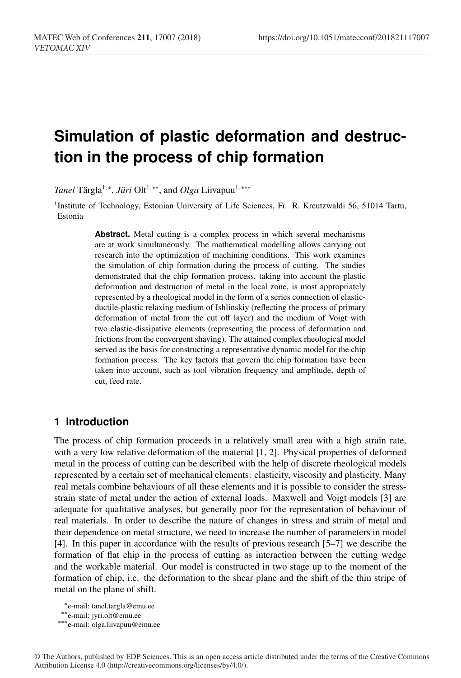# **Simulation of plastic deformation and destruction in the process of chip formation**

*Tanel* Tärgla<sup>1,∗</sup>, *Jüri* Olt<sup>1,∗∗</sup>, and *Olga* Liivapuu<sup>1,</sup> \*\*\*

<sup>1</sup>Institute of Technology, Estonian University of Life Sciences, Fr. R. Kreutzwaldi 56, 51014 Tartu, Estonia

> Abstract. Metal cutting is a complex process in which several mechanisms are at work simultaneously. The mathematical modelling allows carrying out research into the optimization of machining conditions. This work examines the simulation of chip formation during the process of cutting. The studies demonstrated that the chip formation process, taking into account the plastic deformation and destruction of metal in the local zone, is most appropriately represented by a rheological model in the form of a series connection of elasticductile-plastic relaxing medium of Ishlinskiy (reflecting the process of primary deformation of metal from the cut off layer) and the medium of Voigt with two elastic-dissipative elements (representing the process of deformation and frictions from the convergent shaving). The attained complex rheological model served as the basis for constructing a representative dynamic model for the chip formation process. The key factors that govern the chip formation have been taken into account, such as tool vibration frequency and amplitude, depth of cut, feed rate.

## **1 Introduction**

The process of chip formation proceeds in a relatively small area with a high strain rate, with a very low relative deformation of the material [1, 2]. Physical properties of deformed metal in the process of cutting can be described with the help of discrete rheological models represented by a certain set of mechanical elements: elasticity, viscosity and plasticity. Many real metals combine behaviours of all these elements and it is possible to consider the stressstrain state of metal under the action of external loads. Maxwell and Voigt models [3] are adequate for qualitative analyses, but generally poor for the representation of behaviour of real materials. In order to describe the nature of changes in stress and strain of metal and their dependence on metal structure, we need to increase the number of parameters in model [4]. In this paper in accordance with the results of previous research [5–7] we describe the formation of flat chip in the process of cutting as interaction between the cutting wedge and the workable material. Our model is constructed in two stage up to the moment of the formation of chip, i.e. the deformation to the shear plane and the shift of the thin stripe of metal on the plane of shift.

<sup>∗</sup>e-mail: tanel.targla@emu.ee

<sup>∗∗</sup>e-mail: jyri.olt@emu.ee

<sup>∗∗∗</sup>e-mail: olga.liivapuu@emu.ee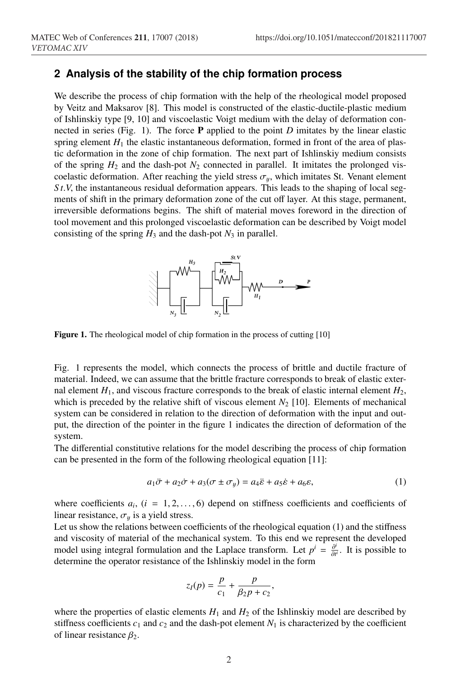### **2 Analysis of the stability of the chip formation process**

We describe the process of chip formation with the help of the rheological model proposed by Veitz and Maksarov [8]. This model is constructed of the elastic-ductile-plastic medium of Ishlinskiy type [9, 10] and viscoelastic Voigt medium with the delay of deformation connected in series (Fig. 1). The force P applied to the point *D* imitates by the linear elastic spring element  $H_1$  the elastic instantaneous deformation, formed in front of the area of plastic deformation in the zone of chip formation. The next part of Ishlinskiy medium consists of the spring  $H_2$  and the dash-pot  $N_2$  connected in parallel. It imitates the prolonged viscoelastic deformation. After reaching the yield stress  $\sigma_u$ , which imitates St. Venant element *St.V*, the instantaneous residual deformation appears. This leads to the shaping of local segments of shift in the primary deformation zone of the cut off layer. At this stage, permanent, irreversible deformations begins. The shift of material moves foreword in the direction of tool movement and this prolonged viscoelastic deformation can be described by Voigt model consisting of the spring  $H_3$  and the dash-pot  $N_3$  in parallel.



Figure 1. The rheological model of chip formation in the process of cutting [10]

Fig. 1 represents the model, which connects the process of brittle and ductile fracture of material. Indeed, we can assume that the brittle fracture corresponds to break of elastic external element  $H_1$ , and viscous fracture corresponds to the break of elastic internal element  $H_2$ , which is preceded by the relative shift of viscous element  $N_2$  [10]. Elements of mechanical system can be considered in relation to the direction of deformation with the input and output, the direction of the pointer in the figure 1 indicates the direction of deformation of the system.

The differential constitutive relations for the model describing the process of chip formation can be presented in the form of the following rheological equation [11]:

$$
a_1\ddot{\sigma} + a_2\dot{\sigma} + a_3(\sigma \pm \sigma_y) = a_4\ddot{\varepsilon} + a_5\dot{\varepsilon} + a_6\varepsilon,\tag{1}
$$

where coefficients  $a_i$ ,  $(i = 1, 2, \ldots, 6)$  depend on stiffness coefficients and coefficients of linear resistance,  $\sigma_y$  is a yield stress.

Let us show the relations between coefficients of the rheological equation (1) and the stiffness and viscosity of material of the mechanical system. To this end we represent the developed model using integral formulation and the Laplace transform. Let  $p^i = \frac{\partial^i}{\partial t^i}$ . It is possible to determine the operator resistance of the Ishlinskiy model in the form

$$
z_I(p) = \frac{p}{c_1} + \frac{p}{\beta_2 p + c_2},
$$

where the properties of elastic elements  $H_1$  and  $H_2$  of the Ishlinskiy model are described by stiffness coefficients  $c_1$  and  $c_2$  and the dash-pot element  $N_1$  is characterized by the coefficient of linear resistance  $\beta_2$ .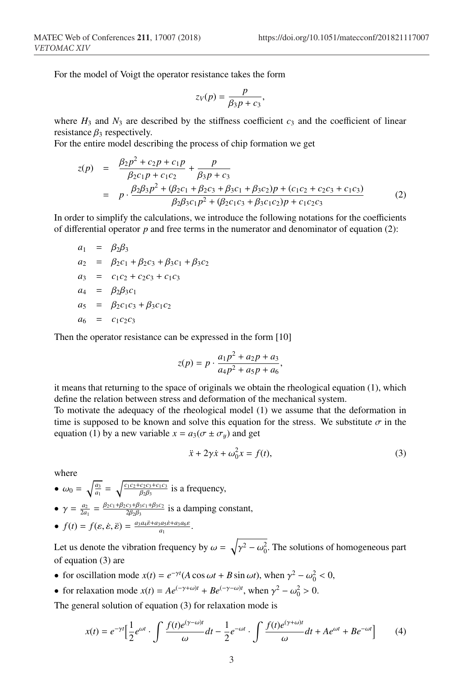For the model of Voigt the operator resistance takes the form

$$
z_V(p) = \frac{p}{\beta_3 p + c_3},
$$

where  $H_3$  and  $N_3$  are described by the stiffness coefficient  $c_3$  and the coefficient of linear resistance  $\beta_3$  respectively.

For the entire model describing the process of chip formation we get

$$
z(p) = \frac{\beta_2 p^2 + c_2 p + c_1 p}{\beta_2 c_1 p + c_1 c_2} + \frac{p}{\beta_3 p + c_3}
$$
  
=  $p \cdot \frac{\beta_2 \beta_3 p^2 + (\beta_2 c_1 + \beta_2 c_3 + \beta_3 c_1 + \beta_3 c_2) p + (c_1 c_2 + c_2 c_3 + c_1 c_3)}{\beta_2 \beta_3 c_1 p^2 + (\beta_2 c_1 c_3 + \beta_3 c_1 c_2) p + c_1 c_2 c_3}$  (2)

In order to simplify the calculations, we introduce the following notations for the coefficients of differential operator *p* and free terms in the numerator and denominator of equation (2):

$$
a_1 = \beta_2 \beta_3
$$
  
\n
$$
a_2 = \beta_2 c_1 + \beta_2 c_3 + \beta_3 c_1 + \beta_3 c_2
$$
  
\n
$$
a_3 = c_1 c_2 + c_2 c_3 + c_1 c_3
$$
  
\n
$$
a_4 = \beta_2 \beta_3 c_1
$$
  
\n
$$
a_5 = \beta_2 c_1 c_3 + \beta_3 c_1 c_2
$$
  
\n
$$
a_6 = c_1 c_2 c_3
$$

Then the operator resistance can be expressed in the form [10]

$$
z(p) = p \cdot \frac{a_1 p^2 + a_2 p + a_3}{a_4 p^2 + a_5 p + a_6},
$$

it means that returning to the space of originals we obtain the rheological equation (1), which define the relation between stress and deformation of the mechanical system.

To motivate the adequacy of the rheological model (1) we assume that the deformation in time is supposed to be known and solve this equation for the stress. We substitute  $\sigma$  in the equation (1) by a new variable  $x = a_3(\sigma \pm \sigma_y)$  and get

$$
\ddot{x} + 2\gamma \dot{x} + \omega_0^2 x = f(t),\tag{3}
$$

where

•  $\omega_0 = \sqrt{\frac{a_3}{a_1}} = \sqrt{\frac{c_1 c_2 + c_2 c_3 + c_1 c_3}{\beta_2 \beta_3}}$  is a frequency,

- $\gamma = \frac{a_2}{2a_1} = \frac{\beta_2 c_1 + \beta_2 c_3 + \beta_3 c_1 + \beta_3 c_2}{2\beta_2 \beta_3}$  is a damping constant,
- $f(t) = f(\varepsilon, \dot{\varepsilon}, \ddot{\varepsilon}) = \frac{a_3 a_4 \ddot{\varepsilon} + a_3 a_5 \dot{\varepsilon} + a_3 a_6 \varepsilon}{a_1}.$

Let us denote the vibration frequency by  $\omega = \sqrt{\gamma^2 - \omega_0^2}$ . The solutions of homogeneous part of equation (3) are

- for oscillation mode  $x(t) = e^{-\gamma t} (A \cos \omega t + B \sin \omega t)$ , when  $\gamma^2 \omega_0^2 < 0$ ,
- for relaxation mode  $x(t) = Ae^{(-\gamma + \omega)t} + Be^{(-\gamma \omega)t}$ , when  $\gamma^2 \omega_0^2 > 0$ .

The general solution of equation (3) for relaxation mode is

$$
x(t) = e^{-\gamma t} \Big[ \frac{1}{2} e^{\omega t} \cdot \int \frac{f(t)e^{(\gamma - \omega)t}}{\omega} dt - \frac{1}{2} e^{-\omega t} \cdot \int \frac{f(t)e^{(\gamma + \omega)t}}{\omega} dt + A e^{\omega t} + B e^{-\omega t} \Big]
$$
(4)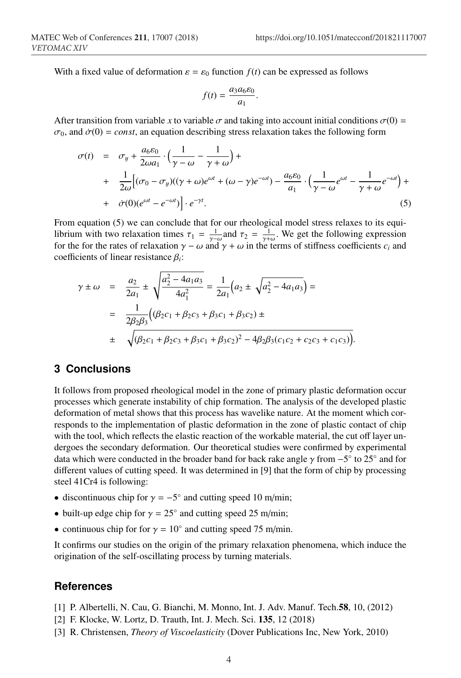With a fixed value of deformation  $\varepsilon = \varepsilon_0$  function  $f(t)$  can be expressed as follows

$$
f(t) = \frac{a_3 a_6 \varepsilon_0}{a_1}.
$$

After transition from variable *x* to variable  $\sigma$  and taking into account initial conditions  $\sigma(0)$  =  $\sigma_0$ , and  $\dot{\sigma}(0) = const$ , an equation describing stress relaxation takes the following form

$$
\sigma(t) = \sigma_y + \frac{a_6 \varepsilon_0}{2\omega a_1} \cdot \left(\frac{1}{\gamma - \omega} - \frac{1}{\gamma + \omega}\right) +
$$
  
+ 
$$
\frac{1}{2\omega} \Big[ (\sigma_0 - \sigma_y)((\gamma + \omega)e^{\omega t} + (\omega - \gamma)e^{-\omega t}) - \frac{a_6 \varepsilon_0}{a_1} \cdot \left(\frac{1}{\gamma - \omega}e^{\omega t} - \frac{1}{\gamma + \omega}e^{-\omega t}\right) +
$$
  
+ 
$$
\dot{\sigma}(0)(e^{\omega t} - e^{-\omega t}) \Big] \cdot e^{-\gamma t}.
$$
 (5)

From equation (5) we can conclude that for our rheological model stress relaxes to its equilibrium with two relaxation times  $\tau_1 = \frac{1}{\gamma - \omega}$  and  $\tau_2 = \frac{1}{\gamma + \omega}$ . We get the following expression for the for the rates of relaxation  $\gamma - \omega$  and  $\gamma + \omega$  in the terms of stiffness coefficients  $c_i$  and coefficients of linear resistance β*i*:

$$
\gamma \pm \omega = \frac{a_2}{2a_1} \pm \sqrt{\frac{a_2^2 - 4a_1a_3}{4a_1^2}} = \frac{1}{2a_1} \left( a_2 \pm \sqrt{a_2^2 - 4a_1a_3} \right) =
$$
  
= 
$$
\frac{1}{2\beta_2\beta_3} \left( \beta_2c_1 + \beta_2c_3 + \beta_3c_1 + \beta_3c_2 \right) \pm
$$
  

$$
\pm \sqrt{\beta_2c_1 + \beta_2c_3 + \beta_3c_1 + \beta_3c_2^2 - 4\beta_2\beta_3(c_1c_2 + c_2c_3 + c_1c_3)}.
$$

### **3 Conclusions**

It follows from proposed rheological model in the zone of primary plastic deformation occur processes which generate instability of chip formation. The analysis of the developed plastic deformation of metal shows that this process has wavelike nature. At the moment which corresponds to the implementation of plastic deformation in the zone of plastic contact of chip with the tool, which reflects the elastic reaction of the workable material, the cut off layer undergoes the secondary deformation. Our theoretical studies were confirmed by experimental data which were conducted in the broader band for back rake angle  $\gamma$  from  $-5°$  to 25° and for different values of cutting speed. It was determined in [9] that the form of chip by processing steel 41Cr4 is following:

- discontinuous chip for  $\gamma = -5^\circ$  and cutting speed 10 m/min;
- built-up edge chip for  $\gamma = 25^\circ$  and cutting speed 25 m/min;
- continuous chip for for  $\gamma = 10^\circ$  and cutting speed 75 m/min.

It confirms our studies on the origin of the primary relaxation phenomena, which induce the origination of the self-oscillating process by turning materials.

#### **References**

- [1] P. Albertelli, N. Cau, G. Bianchi, M. Monno, Int. J. Adv. Manuf. Tech.58, 10, (2012)
- [2] F. Klocke, W. Lortz, D. Trauth, Int. J. Mech. Sci. 135, 12 (2018)
- [3] R. Christensen, *Theory of Viscoelasticity* (Dover Publications Inc, New York, 2010)